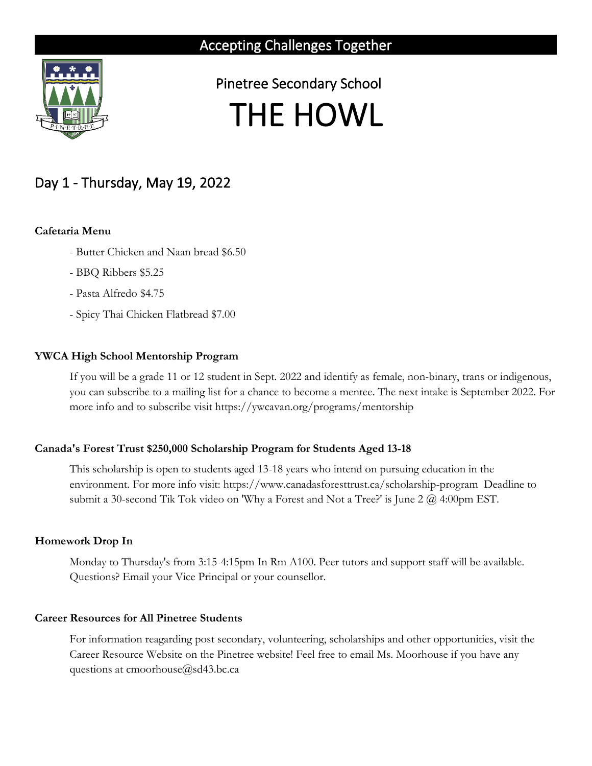

 Pinetree Secondary School THE HOWL

# Day 1 - Thursday, May 19, 2022

# **Cafetaria Menu**

- Butter Chicken and Naan bread \$6.50
- BBQ Ribbers \$5.25
- Pasta Alfredo \$4.75
- Spicy Thai Chicken Flatbread \$7.00

# **YWCA High School Mentorship Program**

If you will be a grade 11 or 12 student in Sept. 2022 and identify as female, non-binary, trans or indigenous, you can subscribe to a mailing list for a chance to become a mentee. The next intake is September 2022. For more info and to subscribe visit https://ywcavan.org/programs/mentorship

## **Canada's Forest Trust \$250,000 Scholarship Program for Students Aged 13-18**

This scholarship is open to students aged 13-18 years who intend on pursuing education in the environment. For more info visit: https://www.canadasforesttrust.ca/scholarship-program Deadline to submit a 30-second Tik Tok video on 'Why a Forest and Not a Tree?' is June 2 @ 4:00pm EST.

## **Homework Drop In**

Monday to Thursday's from 3:15-4:15pm In Rm A100. Peer tutors and support staff will be available. Questions? Email your Vice Principal or your counsellor.

# **Career Resources for All Pinetree Students**

For information reagarding post secondary, volunteering, scholarships and other opportunities, visit the Career Resource Website on the Pinetree website! Feel free to email Ms. Moorhouse if you have any questions at cmoorhouse@sd43.bc.ca